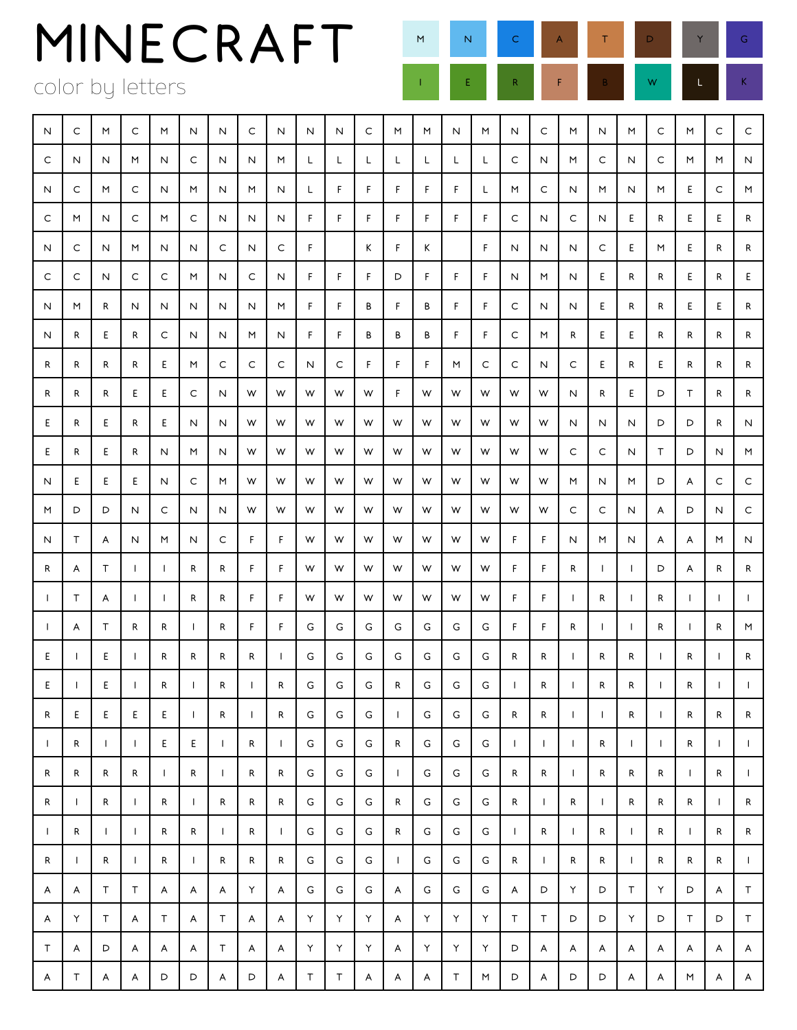| MINECRAFT                    |  | M N C A T D Y G                                                                                                       |  |  |
|------------------------------|--|-----------------------------------------------------------------------------------------------------------------------|--|--|
| color by letters             |  | <b>EXECUTE REPORT REPORT OF A REPORT REPORT REPORT REPORT REPORT REPORT REPORT REPORT REPORT REPORT REPORT REPORT</b> |  |  |
| 1111111111111111111111111111 |  |                                                                                                                       |  |  |

| N            | C            | M            | C            | M            | N                        | Ν            | С                        | N            | N  | N  | С  | M            | M | N | M | N            | C            | M            | N            | M            | C            | M            | C            | $\mathsf C$  |
|--------------|--------------|--------------|--------------|--------------|--------------------------|--------------|--------------------------|--------------|----|----|----|--------------|---|---|---|--------------|--------------|--------------|--------------|--------------|--------------|--------------|--------------|--------------|
| C            | N            | N            | M            | N            | C                        | Ν            | N                        | M            | L  | L  | L  | L            | L | L | L | C            | N            | M            | C            | N            | C            | M            | M            | N            |
| N            | C            | M            | C            | N            | M                        | N            | M                        | N            | L  | F. | F. | F.           | F | F | L | M            | C            | N            | M            | N            | M            | E.           | C            | M            |
| C            | M            | N            | C            | M            | C                        | Ν            | Ν                        | N            | F  | F. | F  | F            | F | F | F | C            | N            | C            | N            | E            | R            | E.           | E.           | R            |
| N            | C            | N            | M            | N            | N                        | C            | N                        | С            | F  |    | Κ  | F            | Κ |   | F | N            | N            | Ν            | C            | E            | M            | E.           | R            | R            |
| C            | С            | N            | C            | C            | M                        | N            | С                        | N            | F. | F  | F  | D            | F | F | F | N            | M            | N            | E            | R            | R            | E.           | R            | E.           |
| N            | M            | R            | Ν            | Ν            | N                        | N            | Ν                        | M            | F  | F  | В  | F            | В | F | F | C            | N            | N            | Е            | R            | R            | E.           | E.           | R            |
| N            | R            | Ε            | R            | C            | N                        | N            | M                        | N            | F. | F  | В  | В            | В | F | F | C            | M            | R            | E            | E            | R            | R            | R            | R            |
| R            | R            | R            | R            | E            | M                        | C            | C                        | С            | N  | С  | F  | F            | F | M | C | C            | N            | C            | E            | R            | E            | R            | R            | R            |
| R            | R            | R            | E            | E            | C                        | N            | W                        | W            | W  | W  | W  | F            | W | W | W | W            | W            | N            | R            | E            | D            | Τ            | R            | R            |
| Ε            | R            | E            | R            | E            | N                        | N            | W                        | W            | W  | W  | W  | W            | W | W | W | W            | W            | N            | Ν            | N            | D            | D            | R            | N            |
| Ε            | R            | Ε            | R            | N            | M                        | N            | W                        | W            | W  | W  | W  | W            | W | W | W | W            | W            | C            | C            | N            | T.           | D            | N            | M            |
| N            | Ε            | Ε            | E            | Ν            | C                        | M            | W                        | W            | W  | W  | W  | W            | W | W | W | W            | W            | M            | N            | M            | D            | A            | С            | C            |
| M            | D            | D            | N            | C            | N                        | N            | W                        | W            | W  | W  | W  | W            | W | W | W | W            | W            | C            | С            | N            | A            | D            | N            | C            |
| N            | Τ            | A            | N            | M            | N                        | C            | F                        | F            | W  | W  | W  | W            | W | W | W | F            | F            | N            | M            | N            | A            | A            | M            | N            |
| R            | A            | Τ            | $\perp$      | $\perp$      | R                        | R            | F                        | F            | W  | W  | W  | W            | W | W | W | F            | F            | R            | $\mathbf{I}$ | $\mathbf{I}$ | D            | A            | R            | R            |
| J.           | Τ            | A            | $\mathbf{I}$ | $\mathbf{I}$ | R                        | R            | F                        | F            | W  | W  | W  | W            | W | W | W | F            | F            | $\mathbf{I}$ | R            | $\mathbf{I}$ | R            | $\mathbf{L}$ | $\mathbf{L}$ |              |
| Ш.           | A            | Τ            | R            | R            | $\perp$                  | R            | F                        | F            | G  | G  | G  | G            | G | G | G | F.           | F            | R            | $\mathbf{I}$ | $\mathbf{I}$ | R            | $\mathbf{I}$ | R            | M            |
| Ε            | $\mathbf{I}$ | E            | $\mathbf{I}$ | R            | R                        | R            | R                        | $\mathsf{I}$ | G  | G  | G  | G            | G | G | G | R            | R            | $\mathbf{I}$ | R            | R            | $\mathbf{I}$ | R            | $\mathbf{I}$ | R            |
| Ε            | л.           | Е            | $\mathbf{I}$ | R            | $\mathbf{I}$             | R            | $\mathbf{I}$             | R            | G  | G  | G  | R            | G | G | G | $\mathbf{I}$ | R            | $\mathbf{I}$ | R            | R            | $\mathbf{I}$ | R            | $\mathbf{L}$ |              |
| R            | Ε            | Ε            | Ε            | Ε            | $\overline{\phantom{a}}$ | R            | $\overline{\phantom{a}}$ | R            | G  | G  | G  | $\mathsf{I}$ | G | G | G | R            | R            | $\mathsf{I}$ | $\mathsf{I}$ | R            | $\mathsf{I}$ | R            | R            | R            |
| $\perp$      | R            | $\mathsf{I}$ | $\mathbf{I}$ | E            | E                        | $\mathbf{I}$ | $\mathsf{R}$             | $\mathbf{I}$ | G  | G  | G  | R            | G | G | G | $\mathbf{I}$ | $\mathbf{I}$ | $\mathbf{I}$ | R            | $\mathbf{I}$ | $\mathbf{I}$ | R            | $\mathbf{L}$ | $\mathbf{I}$ |
| R            | R            | R            | R            | $\mathbf{I}$ | $\mathsf{R}$             | $\mathsf{L}$ | R                        | R            | G  | G  | G  | $\mathbf{I}$ | G | G | G | R            | ${\sf R}$    | $\mathbf{I}$ | R            | R            | R            | $\mathbf{I}$ | R            | $\mathsf{L}$ |
| R            | $\mathsf{I}$ | R            | $\mathbf{I}$ | ${\sf R}$    | $\mathbf{I}$             | ${\sf R}$    | ${\sf R}$                | R            | G  | G  | G  | R            | G | G | G | R            | $\mathbf{L}$ | R            | $\mathbf{I}$ | R            | R            | R            | $\mathbf{I}$ | R            |
| $\mathbf{I}$ | R            | $\mathsf{I}$ | $\mathbf{I}$ | R            | R                        | $\mathbf{I}$ | R                        | $\mathsf{I}$ | G  | G  | G  | R            | G | G | G | $\mathbf{I}$ | $\mathsf{R}$ | $\mathbf{I}$ | R            | $\mathbf{I}$ | R            | $\mathbf{I}$ | R            | R            |
| R            | $\mathbf{I}$ | R            | $\mathbf{I}$ | R            | $\mathbf{I}$             | R            | R                        | R            | G  | G  | G  | $\mathbf{I}$ | G | G | G | R            | $\mathbf{I}$ | R            | R            | $\mathbf{I}$ | R            | R            | R            | $\mathbf{I}$ |
| A            | A            | T            | $\top$       | A            | A                        | A            | Υ                        | A            | G  | G  | G  | A            | G | G | G | A            | D            | Υ            | D            | $\mathsf T$  | Y            | D            | A            | T            |
| A            | Υ            | T            | A            | Т            | A                        | Τ            | A                        | A            | Υ  | Υ  | Υ  | A            | Υ | Υ | Υ | T            | T            | D            | D            | Y            | D            | T            | D            | T            |
| T            | A            | D            | A            | A            | A                        | Τ            | A                        | A            | Υ  | Υ  | Υ  | A            | Υ | Υ | Υ | D            | A            | A            | A            | A            | A            | A            | A            | A            |
| A            | Τ            | A            | A            | D            | D                        | A            | D                        | A            | Τ  | Τ  | A  | A            | A | T | M | D            | A            | D            | D            | A            | A            | M            | A            | A            |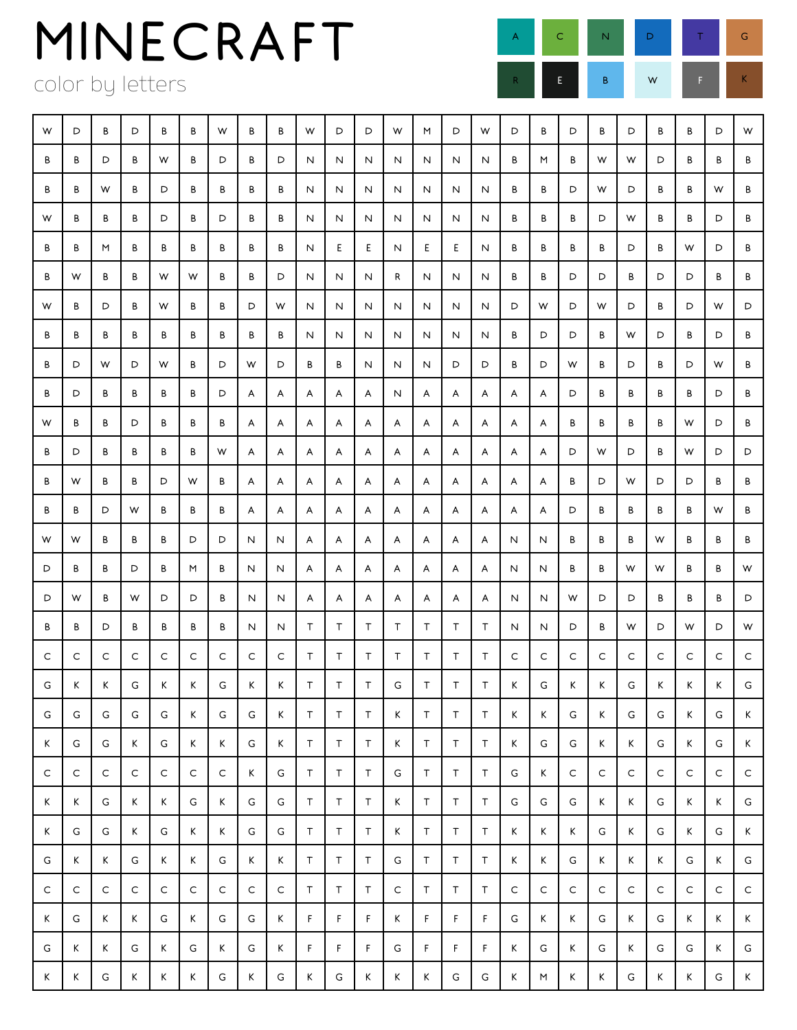color by letters



| W | D | B | D           | B            | B           | W | B | B | W      | D  | D           | W      | M      | D  | W           | D | B | D | B           | D | B           | В | D | W |
|---|---|---|-------------|--------------|-------------|---|---|---|--------|----|-------------|--------|--------|----|-------------|---|---|---|-------------|---|-------------|---|---|---|
| B | B | D | B           | W            | B           | D | B | D | N      | N  | N           | N      | N      | N  | N           | В | M | В | W           | W | D           | В | В | В |
| B | B | W | B           | D            | B           | В | В | В | Ν      | N  | N           | N      | N      | N  | N           | В | В | D | W           | D | B           | В | W | В |
| W | В | B | B           | D            | B           | D | В | В | Ν      | N  | N           | N      | Ν      | N  | N           | В | В | В | D           | W | В           | В | D | В |
| B | В | M | B           | В            | В           | В | В | В | Ν      | E  | E           | N      | Е      | Ε  | N           | В | В | В | В           | D | B           | W | D | В |
| B | W | В | B           | W            | W           | В | В | D | Ν      | N  | N           | R      | N      | N  | N           | В | В | D | D           | В | D           | D | В | В |
| W | В | D | B           | W            | В           | В | D | W | N      | N  | N           | N      | N      | N  | N           | D | W | D | W           | D | В           | D | W | D |
| В | В | В | В           | В            | В           | В | В | В | N      | N  | N           | N      | N      | N  | N           | В | D | D | В           | W | D           | В | D | В |
| В | D | W | D           | W            | В           | D | W | D | В      | В  | N           | N      | N      | D  | D           | В | D | W | В           | D | В           | D | W | В |
| B | D | В | B           | B            | В           | D | A | A | A      | A  | A           | N      | A      | A  | A           | A | A | D | В           | В | В           | В | D | В |
| W | В | В | D           | В            | В           | В | A | A | A      | A  | A           | A      | A      | A  | A           | A | A | В | В           | В | В           | W | D | В |
| B | D | В | В           | В            | В           | W | A | A | A      | A  | A           | A      | A      | A  | A           | A | A | D | W           | D | В           | W | D | D |
| В | W | В | В           | D            | W           | В | A | A | A      | A  | A           | A      | A      | A  | A           | A | A | В | D           | W | D           | D | В | В |
| B | B | D | W           | В            | В           | В | A | A | A      | A  | A           | A      | A      | A  | A           | A | A | D | В           | В | В           | В | W | В |
| W | W | В | В           | В            | D           | D | Ν | N | A      | A  | A           | A      | A      | A  | A           | N | N | В | В           | В | W           | В | В | В |
| D | B | В | D           | В            | M           | В | N | N | A      | A  | A           | A      | A      | A  | A           | N | N | В | В           | W | W           | В | В | W |
| D | W | В | W           | D            | D           | В | N | N | A      | A  | A           | A      | A      | A  | A           | N | N | W | D           | D | В           | В | В | D |
| B | B | D | B           | B            | B           | В | N | N | Τ      | Τ  | Τ           | $\top$ | Τ      | Τ  | T           | N | N | D | В           | W | D           | W | D | W |
| C | C | C | C           | C            | C           | C | C | C | T      | Τ  | T.          | T      | T      | Τ  | T           | C | C | C | С           | C | C           | C | C | C |
| G | Κ | Κ | G           | Κ            | Κ           | G | Κ | Κ | $\top$ | Τ  | $\top$      | G      | $\top$ | Τ  | $\top$      | Κ | G | K | Κ           | G | Κ           | K | K | G |
| G | G | G | G           | G            | K           | G | G | K | $\top$ | T  | $\top$      | K      | T      | T  | T           | K | K | G | K           | G | G           | K | G | K |
| K | G | G | Κ           | G            | K           | Κ | G | Κ | T      | T. | T           | K      | $\top$ | T. | $\mathsf T$ | K | G | G | K           | K | G           | K | G | K |
| C | C | C | $\mathsf C$ | $\mathsf{C}$ | $\mathsf C$ | C | K | G | T      | Τ  | T           | G      | T.     | T  | T.          | G | K | C | $\mathsf C$ | C | $\mathsf C$ | C | C | C |
| Κ | Κ | G | Κ           | Κ            | G           | Κ | G | G | $\top$ | Τ  | $\mathsf T$ | K      | Τ      | T. | T.          | G | G | G | K           | K | G           | K | K | G |
| K | G | G | Κ           | G            | K           | К | G | G | T      | Τ  | T           | K      | T.     | T. | T           | Κ | K | K | G           | Κ | G           | K | G | K |
| G | K | К | G           | К            | K           | G | K | К | Τ      | Τ  | T           | G      | $\top$ | T  | $\mathsf T$ | K | K | G | K           | Κ | K           | G | K | G |
| C | C | C | C           | C            | $\mathsf C$ | C | C | C | Τ      | Τ  | T           | C      | T.     | T. | T           | C | C | C | C           | C | $\mathsf C$ | C | C | C |
| K | G | К | К           | G            | K           | G | G | К | F.     | F  | F.          | K      | F      | F  | F           | G | K | Κ | G           | Κ | G           | K | K | K |
| G | K | К | G           | К            | G           | Κ | G | К | F      | F  | F           | G      | F      | F  | F           | K | G | K | G           | K | G           | G | K | G |
| Κ | Κ | G | Κ           | Κ            | Κ           | G | Κ | G | Κ      | G  | Κ           | K      | К      | G  | G           | Κ | M | Κ | K           | G | K           | Κ | G | K |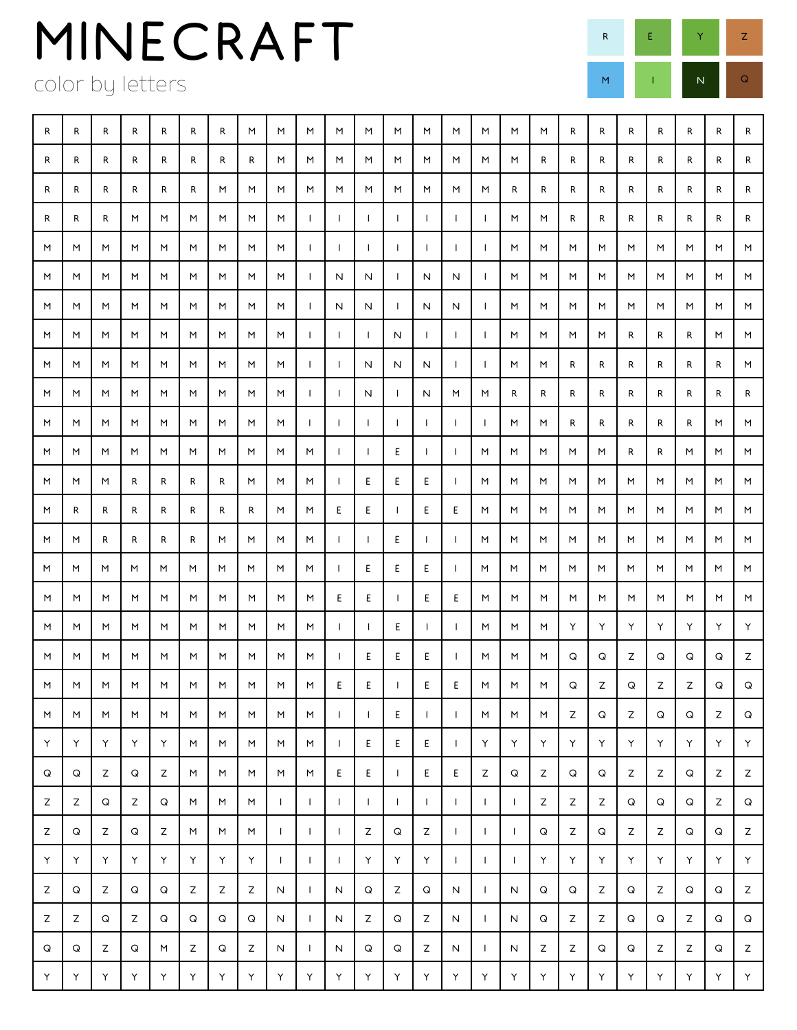color by letters



| R  | R | R                  | R                  | R | R                  | R | M                  | M            | M            | M            | M            | M            | M            | M            | M            | M            | M | R           | R | R  | R | R  | R  | R |
|----|---|--------------------|--------------------|---|--------------------|---|--------------------|--------------|--------------|--------------|--------------|--------------|--------------|--------------|--------------|--------------|---|-------------|---|----|---|----|----|---|
| R  | R | R                  | R                  | R | R                  | R | R                  | M            | M            | M            | M            | M            | M            | M            | M            | M            | R | R           | R | R  | R | R. | R  | R |
| R  | R | R                  | R                  | R | R                  | M | M                  | M            | M            | M            | M            | M            | M            | M            | M            | R            | R | R           | R | R  | R | R  | R  | R |
| R  | R | R                  | M                  | M | M                  | M | M                  | M            | $\mathbf{I}$ | $\mathbf{I}$ | $\mathbf{I}$ | $\mathbf{I}$ | $\mathbf{I}$ | $\mathbf{I}$ | $\mathbf{I}$ | M            | M | R           | R | R  | R | R  | R  | R |
| M  | M | M                  | M                  | M | M                  | M | M                  | M            | $\mathbf{I}$ | $\mathbf{I}$ | $\mathbf{I}$ | $\mathbf{I}$ | $\mathsf{I}$ | $\mathsf{I}$ | $\mathbf{I}$ | M            | M | M           | M | M  | M | M  | M  | M |
| M  | M | M                  | M                  | M | M                  | M | M                  | M            | $\mathbf{I}$ | N            | N            | $\mathbf{I}$ | N            | N            | $\mathbf{I}$ | M            | M | M           | M | M  | M | M  | M  | M |
| M  | M | M                  | M                  | M | M                  | M | M                  | M            | $\mathbf{I}$ | N            | N            | $\mathbf{I}$ | N            | N            | $\mathbf{I}$ | M            | M | M           | M | M  | M | M  | M  | M |
| M  | M | M                  | M                  | M | M                  | M | M                  | M            | $\mathbf{I}$ | $\mathbf{I}$ | $\mathbf{I}$ | N            | $\mathbf{I}$ | $\mathbf{I}$ | $\mathbf{I}$ | M            | M | M           | M | R  | R | R  | M  | M |
| M  | M | M                  | M                  | M | M                  | M | M                  | M            | $\mathbf{I}$ | $\mathbf{I}$ | N            | N            | N            | $\mathbf{I}$ | $\mathbf{I}$ | M            | M | R           | R | R  | R | R  | R  | M |
| M  | M | M                  | M                  | M | M                  | M | M                  | M            | $\mathbf{I}$ | $\mathbf{I}$ | N            | $\mathbf{I}$ | N            | M            | M            | R            | R | R           | R | R  | R | R  | R  | R |
| M  | M | M                  | M                  | M | M                  | M | M                  | M            | $\mathbf{I}$ | $\mathbf{I}$ | $\mathbf{I}$ | $\mathbf{I}$ | $\mathbf{I}$ | $\mathbf{I}$ | $\mathbf{L}$ | M            | M | R           | R | R  | R | R. | M  | M |
| M  | M | M                  | M                  | M | M                  | M | M                  | M            | M            | $\mathbf{I}$ | $\mathsf{I}$ | Ε            | $\mathbf{I}$ | $\mathbf{I}$ | M            | M            | M | M           | M | R  | R | M  | M  | M |
| M  | M | M                  | R                  | R | R                  | R | M                  | M            | M            | $\mathbf{I}$ | Ε            | Ε            | Ε            | $\mathbf{I}$ | M            | M            | M | M           | M | M  | M | M  | M  | M |
| M  | R | R                  | R                  | R | R                  | R | R                  | M            | M            | E            | Ε            | $\mathsf{I}$ | E            | E            | M            | M            | M | M           | M | M  | M | M  | M  | M |
| M  | M | R                  | R                  | R | R                  | M | M                  | M            | M            | $\mathbf{I}$ | $\mathbf{I}$ | E            | $\mathbf{I}$ | $\perp$      | M            | M            | M | M           | M | M  | M | M  | M  | M |
| M  | M | M                  | M                  | M | M                  | M | M                  | M            | M            | $\mathsf{I}$ | Ε            | Е            | Е            | $\mathbf{I}$ | M            | M            | M | M           | M | M  | M | M  | M  | M |
| M  | M | M                  | M                  | M | M                  | M | M                  | M            | M            | E.           | E.           | $\mathbf{I}$ | Ε            | Ε            | M            | M            | M | M           | M | M  | M | M  | M  | M |
| M  | M | M                  | M                  | M | M                  | M | M                  | M            | M            | $\mathbf{I}$ | $\mathbf{I}$ | Ε            | $\mathbf{I}$ | $\mathbf{I}$ | M            | M            | M | Υ           | Υ | Υ  | Υ | Υ  | Υ  | Υ |
| M  | M | M                  | M                  | M | M                  | M | M                  | M            | M            | Ι.           | Ε            | Ε            | E            | $\mathbf{I}$ | M            | M            | M | Q           | Q | Ζ  | Q | Q  | Q  | Ζ |
| M  | M | M                  | M                  | M | M                  | M | M                  | M            | M            | Ε            | Ε            | $\mathbf{I}$ | E            | E            | M            | M            | M | Q           | Ζ | Q  | Ζ | Ζ  | Q  | Q |
| M  | M | $\mathsf{M}% _{0}$ | $\mathsf{M}% _{0}$ | M | $\mathsf{M}% _{0}$ | M | $\mathsf{M}% _{0}$ | M            | M            | $\mathbf{I}$ | $\mathbf{I}$ | E            | $\mathbf{I}$ | $\mathbf{I}$ | M            | M            | M | $\mathsf Z$ | Q | Ζ  | Q | Q  | Z  | Q |
| Υ  | Υ | Υ                  | Υ                  | Υ | M                  | M | M                  | M            | M            | $\mathbf{L}$ | E.           | Ε            | E            | $\mathbf{I}$ | Y            | Y.           | Υ | Y           | Υ | Υ  | Υ | Υ  | Y. | Y |
| Q  | Q | Ζ                  | Q                  | Ζ | M                  | M | M                  | M            | M            | E            | E.           | $\mathbf{I}$ | E.           | E            | Ζ            | Q            | Z | Q           | Q | Z  | Z | Q  | Z  | Z |
| Z  | Z | Q                  | Z                  | Q | M                  | M | M                  | $\mathsf{I}$ | $\mathbf{I}$ | $\mathbf{I}$ | $\mathbf{I}$ | $\mathbf{I}$ | $\mathbf{I}$ | Т.           | $\mathbf{I}$ | $\mathbf{I}$ | Z | Z           | Z | Q  | Q | Q  | Z  | Q |
| Z  | Q | Z                  | Q                  | Z | M                  | M | M                  | $\mathsf{I}$ | $\mathbf{I}$ | $\mathbf{I}$ | Z            | Q            | Z            | $\mathbf{I}$ | $\mathbf{I}$ | $\mathbf{I}$ | Q | Ζ           | Q | Z  | Ζ | Q  | Q  | Z |
| Υ  | Υ | Υ                  | Υ                  | Υ | Υ                  | Υ | Υ                  | $\mathbf{I}$ | $\mathbf{I}$ | $\mathbf{I}$ | Υ            | Υ            | Y            | $\mathbf{I}$ | $\mathbf{I}$ | $\mathbf{I}$ | Y | Υ           | Υ | Y. | Υ | Υ  | Y. | Y |
| Z  | Q | Ζ                  | Q                  | Q | Ζ                  | Z | Ζ                  | N            | $\mathbf{I}$ | N            | Q            | Ζ            | Q            | N            | $\mathbf{I}$ | N            | Q | Q           | Z | Q  | Ζ | Q  | Q  | Z |
| Z  | Z | Q                  | Z                  | Q | Q                  | Q | Q                  | N            | $\mathbf{I}$ | N            | Z            | Q            | Z            | N            | $\mathbf{L}$ | N            | Q | Z           | Z | Q  | Q | Z  | Q  | Q |
| Q  | Q | Z                  | Q                  | M | Z                  | Q | Z                  | N            | $\mathbf{I}$ | N            | Q            | Q            | Z            | N            | $\mathbf{L}$ | N            | Z | Z           | Q | Q  | Z | Z  | Q  | Z |
| Y. | Υ | Υ                  | Υ                  | Υ | Y                  | Υ | $\mathsf Y$        | Υ            | Y            | Υ            | Υ            | Y            | Y            | Y            | Y            | Υ            | Y | Υ           | Y | Y  | Y | Y  | Y  | Y |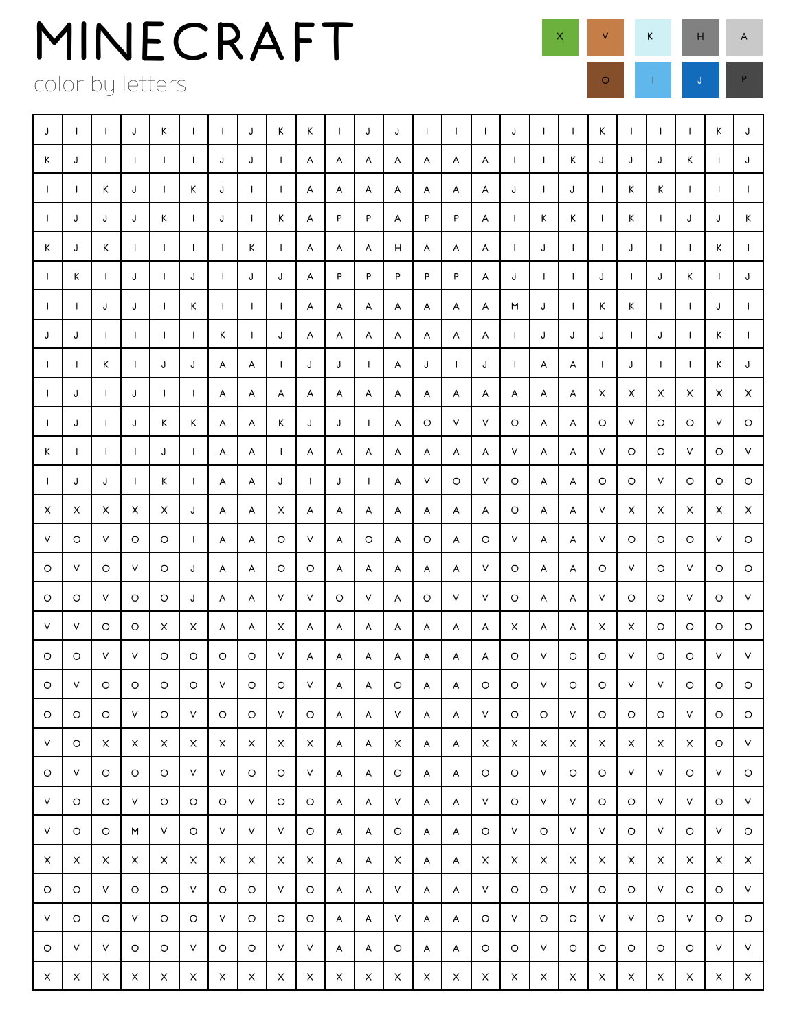color by letters

| J            |              |              | J            | K            | -1           |              | J            | Κ            | Κ            |   | J            | J       | $\mathbf{I}$ | $\mathbf{I}$ | $\mathbf{I}$ | J            | $\mathbf{I}$ | $\mathbf{I}$ | K            | $\mathbf{I}$ | $\mathbf{I}$ |              | K            | J            |
|--------------|--------------|--------------|--------------|--------------|--------------|--------------|--------------|--------------|--------------|---|--------------|---------|--------------|--------------|--------------|--------------|--------------|--------------|--------------|--------------|--------------|--------------|--------------|--------------|
| К            | J            | $\mathbf{I}$ | $\perp$      | $\mathbf{I}$ | $\perp$      | J            | J            | $\perp$      | A            | A | A            | A       | A            | A            | A            | $\mathbf{I}$ | $\mathbf{I}$ | K            | J            | J            | J            | K            | $\mathbf{L}$ | J            |
| $\mathbf{I}$ | $\mathbf{I}$ | К            | J            | $\mathbf{I}$ | Κ            | J            | $\mathbf{I}$ | $\mathbf{I}$ | A            | A | A            | A       | A            | A            | A            | J            | $\mathbf{I}$ | J            | $\mathbf{I}$ | K            | K            | $\mathbf{I}$ | $\mathbf{I}$ | $\mathbf{I}$ |
| $\mathbf{I}$ | J            | J            | J            | K            | $\perp$      | J            | $\mathsf{I}$ | К            | A            | P | P            | A       | P            | P            | A            | $\mathbf{I}$ | K            | K            | $\mathbf{I}$ | Κ            | $\mathbf{I}$ | J            | J            | K            |
| Κ            | J            | Κ            | $\mathbf{I}$ | $\perp$      | $\mathbf{I}$ | л.           | К            | $\mathbf{I}$ | Α            | A | A            | н       | A            | A            | A            | $\mathbf{I}$ | J            | $\mathbf{I}$ | $\mathbf{I}$ | J            | $\mathbf{I}$ | $\mathbf{I}$ | K            |              |
| $\mathbf{I}$ | К            | $\perp$      | J            | $\perp$      | J            | $\mathbf{I}$ | J            | J            | A            | P | P            | P       | P            | P            | A            | J            | $\mathbf{I}$ | $\mathbf{I}$ | J            | $\mathbf{I}$ | J            | K            | $\mathbf{I}$ | J            |
| $\mathbf{I}$ | $\mathsf{I}$ | J            | J            | $\mathbf{I}$ | Κ            | $\mathbf{I}$ | $\mathbf{I}$ | $\mathbf{I}$ | A            | A | A            | A       | A            | A            | A            | M            | J            | $\mathbf{I}$ | Κ            | Κ            | $\mathbf{I}$ | $\mathbf{L}$ | J            | $\mathbf{I}$ |
| J            | J            | $\mathbf{1}$ | $\perp$      | $\mathbf{I}$ | $\perp$      | К            | $\mathbf{I}$ | J            | A            | A | A            | A       | A            | A            | A            | $\mathbf{I}$ | J            | J            | J            | $\mathbf{I}$ | J            | $\mathbf{I}$ | K            | $\mathbf{I}$ |
| $\mathbf{I}$ | I.           | К            | $\mathbf{I}$ | J            | J            | A            | A            | $\mathbf{I}$ | J            | J | $\mathbf{I}$ | A       | J            | $\mathsf{I}$ | J            | $\mathbf{I}$ | A            | A            | $\mathbf{I}$ | J            | $\mathbf{I}$ | $\mathbf{I}$ | K            | J            |
| $\perp$      | J            | $\mathbf{I}$ | J            | $\mathbf{I}$ | $\mathbf{I}$ | A            | A            | A            | A            | A | A            | A       | A            | A            | A            | A            | A            | A            | X            | X            | X            | X            | X            | X            |
| $\mathbf{I}$ | J            | Ι.           | J            | К            | Κ            | A            | A            | К            | J            | J | $\mathbf{I}$ | A       | O            | V            | V            | O            | A            | A            | O            | V            | O            | O            | V            | O            |
| Κ            | $\mathbf{I}$ | $\mathbf{I}$ | $\mathbf{I}$ | J            | $\perp$      | A            | A            | $\mathbf{I}$ | A            | A | A            | A       | A            | A            | A            | V            | A            | A            | V            | O            | $\circ$      | V            | O            | V            |
| $\mathbf{I}$ | J            | J            | Ι.           | К            |              | A            | A            | J            | $\mathbf{I}$ | J | $\mathbf{I}$ | A       | V            | O            | V            | O            | A            | A            | O            | O            | V            | O            | O            | $\circ$      |
| X            | X            | X            | X            | X            | J            | A            | A            | X            | A            | A | A            | A       | A            | A            | A            | O            | A            | A            | V            | X            | X            | $\times$     | X            | X            |
| V            | O            | V            | O            | O            |              | Α            | A            | O            | V            | A | O            | A       | O            | A            | O            | V            | A            | A            | V            | O            | O            | O            | V            | O            |
| $\circ$      | V            | O            | V            | O            | J            | A            | A            | O            | O            | A | A            | A       | A            | A            | V            | O            | A            | A            | $\circ$      | V            | $\circ$      | V            | $\circ$      | O            |
| O            | O            | v            | O            | O            | J            | A            | A            | V            | V            | O | V            | A       | O            | V            | V            | O            | A            | A            | V            | O            | O            | V            | O            | V            |
| V            | V            | O            | $\circ$      | X            | X            | A            | A            | X            | A            | A | A            | A       | A            | A            | A            | X            | A            | A            | X            | X            | O            | $\circ$      | $\circ$      | O            |
| O            | O            | V            | V            | O            | $\circ$      | O            | O            | V            | A            | A | A            | A       | A            | A            | A            | O            | V            | O            | O            | V            | O            | $\circ$      | V            | $\mathsf{V}$ |
| $\circ$      | V            | O            | $\circ$      | $\circ$      | $\circ$      | V            | O            | O            | V            | A | A            | O       | A            | A            | $\circ$      | O            | V            | O            | $\circ$      | V            | V            | O            | $\circ$      | $\circ$      |
| $\circ$      | O            | O            | V            | $\circ$      | $\vee$       | O            | O            | V            | O            | A | A            | V       | A            | A            | V            | O            | O            | V            | $\circ$      | O            | O            | V            | O            | $\circ$      |
| V            | O            | $\times$     | $\times$     | $\times$     | X            | X            | X            | X            | X            | A | A            | X       | A            | A            | X            | X            | X            | X            | $\times$     | X            | X            | X            | O            | V.           |
| O            | V            | O            | O            | O            | V            | V            | $\circ$      | O            | V            | A | A            | $\circ$ | A            | A            | O            | O            | V            | O            | O            | V            | $\mathsf{V}$ | O            | V            | $\circ$      |
| V            | O            | O            | V            | O            | $\circ$      | O            | V            | O            | $\circ$      | A | A            | V       | A            | A            | V            | O            | V            | V            | O            | O            | V            | V            | O            | V            |
| V            | O            | O            | M            | V            | O            | V            | V            | V            | O            | A | A            | O       | A            | A            | O            | V            | O            | V            | V            | O            | V            | O            | V            | $\circ$      |
| X            | X            | X            | X            | X            | X            | X            | X            | X            | X            | A | A            | X       | A            | A            | X            | X            | X            | X            | X            | X            | X            | X            | X            | X            |
| O            | O            | V            | O            | O            | $\vee$       | O            | O            | V            | O            | A | A            | V       | A            | A            | V            | O            | O            | V            | O            | O            | V            | O            | O            | V.           |
| V            | O            | O            | V            | O            | O            | $\vee$       | O            | O            | O            | A | A            | V       | A            | A            | O            | V            | O            | O            | V            | V            | O            | V            | O            | $\circ$      |
| O            | V            | V            | O            | O            | V            | $\circ$      | O            | V            | V            | A | A            | O       | A            | A            | O            | O            | V            | O            | O            | O            | O            | O            | V            | V.           |
| X            | X            | X            | $\times$     | X            | X            | X            | X            | X            | X            | X | X            | X       | X            | X            | X            | X            | X            | X            | X            | X            | X            | X            | X            | X            |

 $\times$  V K H A

O I J J P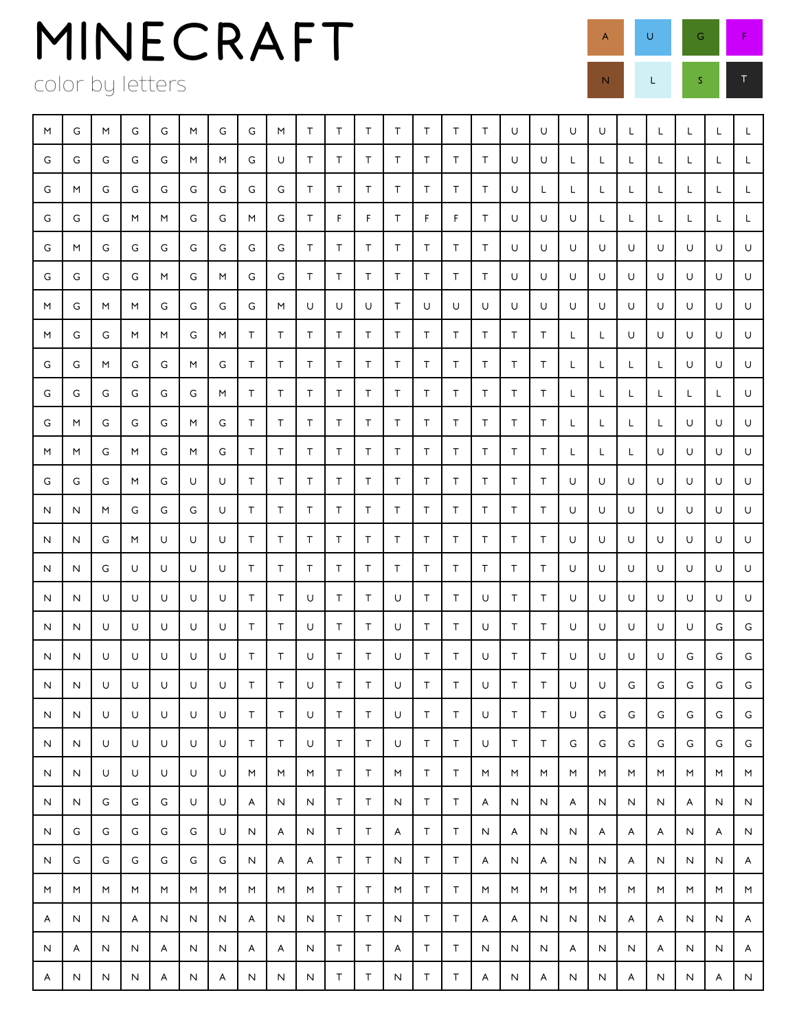color by letters

| M | G            | M | G | G | M | G | G            | M            | Τ            | Τ            | $\top$      | $\top$       | $\top$       | T            | T      | U      | U      | U            | U            | L | L | L  | L  | L  |
|---|--------------|---|---|---|---|---|--------------|--------------|--------------|--------------|-------------|--------------|--------------|--------------|--------|--------|--------|--------------|--------------|---|---|----|----|----|
| G | G            | G | G | G | M | M | G            | U            | Τ            | Τ            | T           | $\top$       | T            | T            | T      | U      | U      | L            | L            | L | L | L. | L. | L. |
| G | M            | G | G | G | G | G | G            | G            | Τ            | Т            | T           | $\top$       | T            | Τ            | $\top$ | U      | L      | L            | L            | L | L | L  | L  | L. |
| G | G            | G | M | M | G | G | M            | G            | Τ            | F            | F           | T            | F            | F            | Τ      | U      | U      | U            | L            | L | L | L  | L  | L  |
| G | M            | G | G | G | G | G | G            | G            | Τ            | т            | T           | T            | T            | Τ            | $\top$ | U      | U      | U            | U            | U | U | U  | U  | U  |
| G | G            | G | G | M | G | M | G            | G            | Τ            | Τ            | T           | T            | T            | Τ            | Τ      | U      | U      | U            | U            | U | U | U  | U  | U  |
| M | G            | M | M | G | G | G | G            | M            | U            | U            | U           | Τ            | U            | U            | U      | U      | U      | U            | U            | U | U | U  | U  | U  |
| M | G            | G | M | M | G | M | Τ            | Τ            | Τ            | Τ            | T           | Τ            | T            | T            | $\top$ | т      | T      | L            | L            | U | U | U  | U  | U  |
| G | G            | M | G | G | M | G | Τ            | Т            | T            | т            | T           | Т            | T            | Τ            | $\top$ | Τ      | Τ      | L            | L            | L | L | U  | U  | U  |
| G | G            | G | G | G | G | M | Τ            | Τ            | T            | Τ            | T           | T            | Τ            | Τ            | T      | Τ      | Τ      | L            | L            | L | L | L  | L  | U  |
| G | M            | G | G | G | M | G | Τ            | Τ            | Τ            | Τ            | T           | Τ            | T            | Τ            | $\top$ | Τ      | Τ      | L            | L            | L | L | U  | U  | U  |
| M | M            | G | M | G | M | G | Τ            | т            | T            | Τ            | T           | T            | T            | т            | $\top$ | Τ      | Τ      | L            | L            | L | U | U  | U  | U  |
| G | G            | G | M | G | U | U | Τ            | Τ            | $\mathsf T$  | Τ            | $\top$      | Τ            | $\top$       | Τ            | Τ      | Τ      | Τ      | U            | U            | U | U | U  | U  | U  |
| N | N            | M | G | G | G | U | Τ            | т            | Τ            | Т            | $\top$      | Τ            | T            | Τ            | Τ      | Τ      | Τ      | U            | U            | U | U | U  | U  | U  |
| N | N            | G | M | U | U | U | Τ            | т            | Τ            | Т            | T           | Τ            | T            | T            | T      | T      | Τ      | U            | U            | U | U | U  | U  | U  |
| N | N            | G | U | U | U | U | Τ            | Τ            | Τ            | Τ            | T           | T            | $\top$       | Τ            | T      | Τ      | Τ      | U            | U            | U | U | U  | U  | U  |
| N | N            | U | U | U | U | U | Τ            | Т            | U            | Т            | T           | U            | T            | Τ            | U      | Τ      | Τ      | U            | U            | U | U | U  | U  | U  |
| N | N            | U | U | U | U | U | T            | Т            | U            | Τ            | $\top$      | U            | T            | Τ            | U      | Τ      | Τ      | U            | U            | U | U | U  | G  | G  |
| N | N            | U | U | U | U | U | Τ            | Τ            | U            | Т            | T           | U            | T            | T            | U      | T      | T      | U            | U            | U | U | G  | G  | G  |
| N | Ν            | U | U | U | U | U | $\mathsf T$  | Т            | U            | Т            | $\mathsf T$ | U            | $\top$       | Τ            | U      | Т      | $\top$ | U            | U            | G | G | G  | G  | G  |
| N | N            | U | U | U | U | U | Τ            | Τ            | U            | $\mathsf T$  | $\top$      | U            | $\top$       | $\top$       | U      | $\top$ | T      | U            | G            | G | G | G  | G  | G  |
| N | N            | U | U | U | U | U | Τ            | Τ            | U            | T            | T           | U            | $\mathsf T$  | $\top$       | U      | T      | T      | G            | G            | G | G | G  | G  | G  |
| N | N            | U | U | U | U | U | M            | M            | M            | $\top$       | $\mathsf T$ | M            | $\mathsf T$  | $\top$       | M      | M      | M      | M            | M            | M | M | M  | M  | M  |
| N | N            | G | G | G | U | U | A            | N            | N            | Τ            | $\top$      | N            | $\mathsf T$  | Τ            | A      | N      | N      | A            | N            | N | N | A  | N  | N  |
| N | G            | G | G | G | G | U | N            | A            | N            | Τ            | $\mathsf T$ | A            | $\mathsf T$  | Τ            | N      | A      | N      | N            | A            | A | A | N  | A  | N  |
| N | G            | G | G | G | G | G | N            | A            | A            | Τ            | T           | N            | $\mathsf T$  | $\mathsf T$  | A      | N      | A      | N            | N            | A | N | N  | N  | A  |
| M | M            | M | M | M | M | M | M            | M            | M            | Τ            | $\top$      | M            | $\mathsf T$  | $\mathsf T$  | M      | M      | M      | M            | M            | M | M | M  | M  | M  |
| A | N            | N | A | N | N | N | A            | N            | N            | Τ            | $\mathsf T$ | N            | $\top$       | Τ            | A      | A      | N      | N            | N            | A | Α | N  | N  | A  |
| N | A            | N | N | A | N | N | A            | A            | N            | Τ            | $\mathsf T$ | A            | $\mathsf T$  | Τ            | N      | N      | N      | A            | N            | N | A | N  | N  | A  |
| A | $\mathsf{N}$ | N | N | A | N | A | $\mathsf{N}$ | $\mathsf{N}$ | $\mathsf{N}$ | $\mathsf{T}$ | T           | $\mathsf{N}$ | $\mathsf{T}$ | $\mathsf{T}$ | A      | N      | A      | $\mathsf{N}$ | $\mathsf{N}$ | A | N | N  | A  | N. |

A U G F

N L S T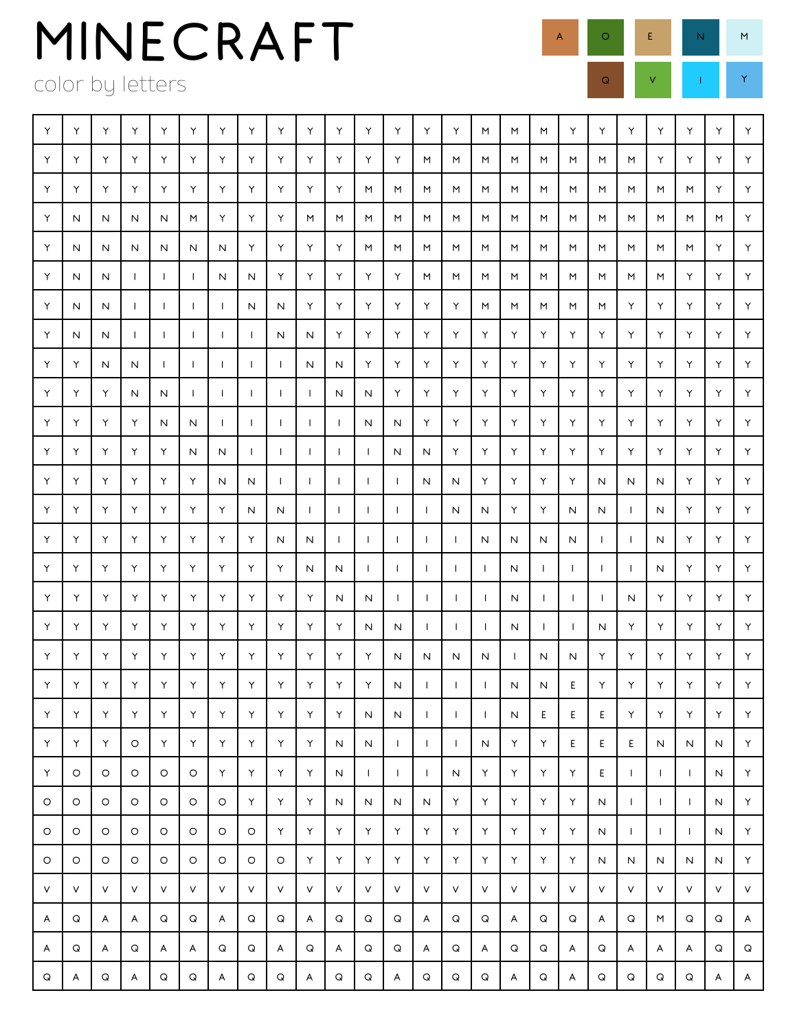color by letters

| Υ | Υ | Υ       | Υ            | Υ            | Υ            | Υ                        | Υ            | Υ            | Υ                        | Υ            | Υ            | Υ            | Υ            | Υ            | M            | M            | M            | Υ            | Υ            | Y            | Υ            | Υ            | Υ  | Υ  |
|---|---|---------|--------------|--------------|--------------|--------------------------|--------------|--------------|--------------------------|--------------|--------------|--------------|--------------|--------------|--------------|--------------|--------------|--------------|--------------|--------------|--------------|--------------|----|----|
| Υ | Υ | Υ       | Υ            | Υ            | Υ            | Υ                        | Υ            | Υ            | Υ                        | Υ            | Υ            | Υ            | M            | M            | M            | M            | M            | M            | M            | M            | Υ            | Y.           | Υ  | Υ  |
| Υ | Υ | Υ       | Υ            | Υ            | Υ            | Υ                        | Υ            | Υ            | Υ                        | Υ            | M            | M            | M            | M            | M            | M            | M            | M            | M            | M            | M            | M            | Υ  | Y  |
| Υ | N | N       | N            | N            | M            | Υ                        | Υ            | Υ            | M                        | M            | M            | M            | M            | M            | M            | M            | M            | M            | M            | M            | M            | M            | M  | Y. |
| Υ | N | N       | N            | N            | N            | N                        | Υ            | Υ            | Υ                        | Υ            | M            | M            | M            | M            | M            | M            | M            | M            | M            | M            | M            | M            | Y. | Y  |
| Υ | N | N       | $\perp$      | $\mathbf{I}$ | $\mathbf{I}$ | N                        | N            | Υ            | Υ                        | Υ            | Υ            | Υ            | M            | M            | M            | M            | M            | M            | M            | M            | M            | Y.           | Υ  | Y  |
| Υ | N | N       | $\mathbf{I}$ |              | $\perp$      | $\overline{\phantom{a}}$ | N            | N            | Υ                        | Υ            | Υ            | Υ            | Υ            | Υ            | M            | M            | M            | M            | M            | Υ            | Υ            | Y            | Υ  | Y  |
| Υ | N | N       | $\mathbf{I}$ |              | $\mathbf{I}$ | -1                       | $\mathbf{I}$ | N            | Ν                        | Υ            | Υ            | Υ            | Υ            | Υ            | Υ            | Υ            | Υ            | Υ            | Υ            | Υ            | Υ            | Y            | Y  | Y  |
| Υ | Υ | N       | N            |              | $\mathbf{I}$ |                          | $\mathbf{I}$ | $\perp$      | N                        | N            | Υ            | Υ            | Υ            | Υ            | Υ            | Υ            | Υ            | Υ            | Υ            | Υ            | Υ            | Y            | Y  | Y  |
| Υ | Υ | Υ       | N            | N            | $\mathbf{I}$ | <b>I</b>                 | $\perp$      | $\mathbf{I}$ | -1                       | N            | N            | Υ            | Y            | Υ            | Y            | Υ            | Υ            | Υ            | Υ            | Υ            | Υ            | Y            | Y  | Y  |
| Υ | Υ | Υ       | Υ            | N            | N            | 1                        | $\mathbf{I}$ | $\mathsf{I}$ | $\mathsf{l}$             | $\mathbf{I}$ | N            | N            | Υ            | Υ            | Υ            | Υ            | Υ            | Υ            | Υ            | Y            | Υ            | Y            | Y  | Y  |
| Υ | Υ | Υ       | Υ            | Υ            | N            | N                        | $\mathbf{I}$ | $\mathbf{I}$ | $\overline{\phantom{a}}$ | $\mathbf{I}$ | $\mathbf{I}$ | N            | N            | Υ            | Υ            | Υ            | Υ            | Υ            | Υ            | Υ            | Y            | Υ            | Y  | Y  |
| Υ | Υ | Υ       | Υ            | Υ            | Υ            | N                        | N            | $\mathbf{I}$ | $\overline{\phantom{a}}$ | $\mathbf{I}$ | $\mathbf{I}$ | $\mathsf{I}$ | N            | N            | Υ            | Υ            | Υ            | Υ            | N            | N            | N            | Y            | Y. | Y  |
| Υ | Υ | Υ       | Υ            | Υ            | Υ            | Υ                        | N            | N            | $\mathbf{I}$             | $\mathbf{I}$ | $\mathbf{I}$ | $\mathbf{I}$ | $\mathbf{I}$ | Ν            | N            | Υ            | Υ            | N            | N            | $\mathbf{L}$ | N            | Υ            | Υ  | Y  |
| Υ | Υ | Υ       | Υ            | Υ            | Υ            | Υ                        | Υ            | N            | Ν                        |              | $\mathbf{I}$ | $\mathbf{I}$ | $\mathbf{I}$ | $\mathbf{I}$ | N            | N            | N            | N            | $\mathbf{I}$ | $\mathbf{L}$ | Ν            | Υ            | Y  | Y  |
| Υ | Υ | Υ       | Υ            | Υ            | Υ            | Υ                        | Υ            | Υ            | N                        | N            | $\mathbf{I}$ | $\mathbf{I}$ | $\mathbf{I}$ | $\mathbf{I}$ | $\mathbf{I}$ | N            | $\mathbf{I}$ | $\mathbf{I}$ | $\mathbf{I}$ | $\mathbf{L}$ | Ν            | Υ            | Y. | Y  |
| Υ | Y | Υ       | Υ            | Υ            | Υ            | Υ                        | Υ            | Υ            | Υ                        | N            | N            | $\mathbf{I}$ | $\mathbf{I}$ | $\mathbf{I}$ | $\mathbf{I}$ | N            | $\mathbf{I}$ | $\mathbf{I}$ | $\mathbf{I}$ | N            | Υ            | Υ            | Y  | Υ  |
| Υ | Υ | Υ       | Υ            | Υ            | Υ            | Υ                        | Υ            | Υ            | Υ                        | Υ            | N            | N            | $\mathbf{I}$ | $\mathbf{I}$ | $\mathbf{I}$ | N            | $\mathbf{I}$ | $\mathbf{I}$ | N            | Υ            | Υ            | Y            | Υ  | Y  |
| Υ | Υ | Υ       | Υ            | Υ            | Υ            | Υ                        | Υ            | Υ            | Υ                        | Υ            | Υ            | N            | N            | N            | N            | $\mathbf{I}$ | N            | N            | Υ            | Υ            | Υ            | Y            | Y  | Y  |
| Y | Υ | Υ       | Υ            | Υ            | Υ            | Υ                        | Υ            | Υ            | Υ                        | Υ            | Υ            | ${\sf N}$    | $\mathbf{I}$ | $\mathsf{I}$ | $\mathbf{I}$ | N            | N            | Е            | Υ            | Υ            | Υ            | Υ            | Y. | Y  |
| Υ | Υ | Υ       | Υ            | Υ            | Υ            | Υ                        | Υ            | Υ            | Υ                        | Υ            | N            | N            | $\mathbf{I}$ | $\mathbf{I}$ | $\mathbf{I}$ | N            | E            | E.           | E.           | Υ            | Υ            | Υ            | Υ  | Y  |
| Υ | Υ | Υ       | $\circ$      | Υ            | Υ            | Υ                        | Y            | Υ            | Υ                        | N            | N            | $\mathbf{L}$ | $\mathbf{I}$ | $\mathbf{I}$ | N            | Υ            | Υ            | E.           | E.           | E            | N            | N            | N  | Y  |
| Υ | O | O       | O            | O            | O            | Υ                        | Υ            | Υ            | Υ                        | N            | $\mathbf{L}$ | $\mathbf{L}$ | $\mathbf{I}$ | N            | Y            | Υ            | Υ            | Υ            | E            | $\mathbf{I}$ | $\mathbf{I}$ | $\mathbf{I}$ | N  | Y  |
| O | O | O       | $\circ$      | O            | O            | O                        | Υ            | Υ            | Υ                        | N            | N            | N            | N            | Υ            | Y.           | Υ            | Υ            | Υ            | N            | $\mathbf{I}$ | $\mathsf{L}$ | $\mathbf{I}$ | N  | Y  |
| O | O | $\circ$ | O            | O            | O            | O                        | O            | Υ            | Υ                        | Υ            | Υ            | Υ            | Υ            | Υ            | Y.           | Υ            | Υ            | Υ            | N            | $\mathbf{I}$ | $\mathbf{I}$ | $\mathbf{I}$ | Ν  | Υ  |
| O | O | O       | O            | O            | O            | O                        | O            | O            | Υ                        | Υ            | Y            | Υ            | Υ            | Υ            | Y            | Υ            | Υ            | Υ            | N            | N            | N            | N            | Ν  | Y  |
| V | V | V       | V            | V            | $\lor$       | V                        | $\mathsf{V}$ | V            | $\lor$                   | V            | V            | V            | V            | V            | V            | V            | V            | V            | V            | V            | V            | V            | V  | V  |
| A | Q | A       | A            | Q            | Q            | A                        | Q            | Q            | A                        | Q            | Q            | Q            | A            | Q            | Q            | A            | Q            | Q            | A            | Q            | M            | Q            | Q  | A  |
| A | Q | A       | Q            | A            | A            | Q                        | Q            | A            | Q                        | A            | Q            | Q            | A            | Q            | A            | Q            | Q            | A            | Q            | A            | A            | A            | Q  | Q  |
| Q | A | Q       | A            | Q            | Q            | A                        | Q            | Q            | A                        | Q            | Q            | A            | Q            | Q            | Q            | A            | Q            | A            | Q            | Q            | Q            | Q            | A  | A  |

A O E N M  $Q$  V  $V$   $I$   $Y$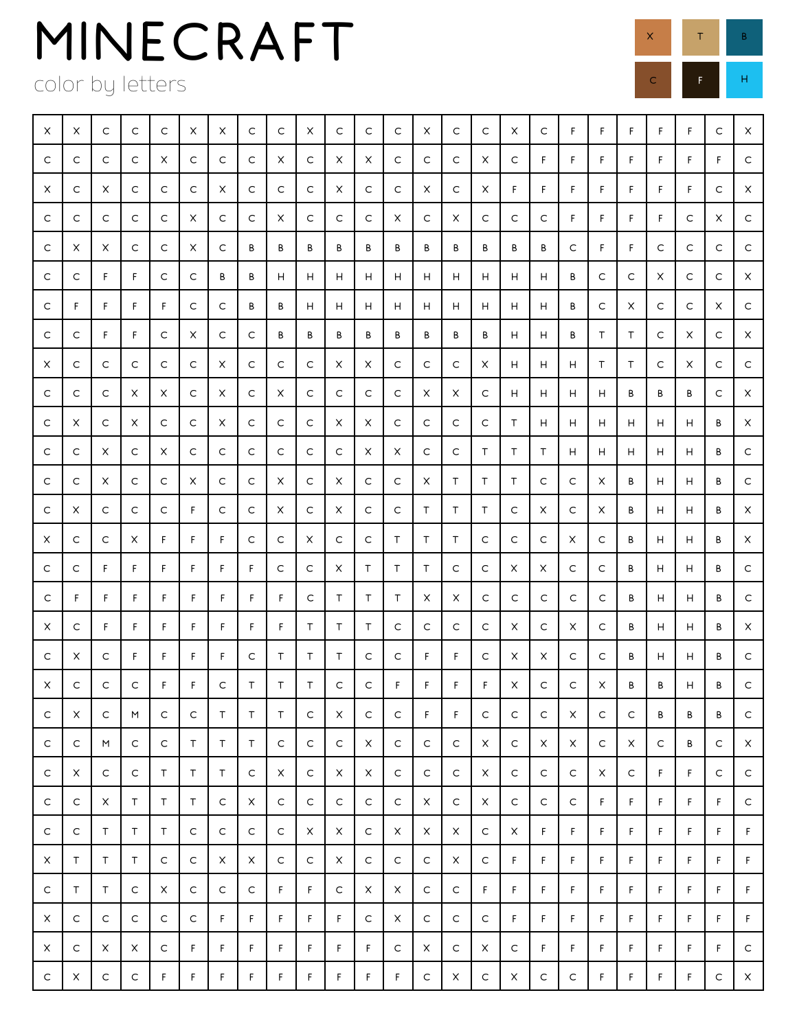color by letters

| X           | X           | C           | $\mathsf{C}$ | C | X           | X | C  | C      | X           | C  | $\mathsf{C}$ | $\mathsf{C}$ | X           | $\mathsf{C}$ | $\mathsf{C}$ | X           | C            | F  | F. | F. | F. | F. | $\mathsf{C}$ | X            |
|-------------|-------------|-------------|--------------|---|-------------|---|----|--------|-------------|----|--------------|--------------|-------------|--------------|--------------|-------------|--------------|----|----|----|----|----|--------------|--------------|
| C           | C           | C           | C            | X | C           | C | C  | X      | С           | X  | X            | С            | C           | C            | X            | C           | F            | F  | F  | F. | F. | F. | F.           | C            |
| X           | C           | X           | C            | C | C           | X | C  | С      | С           | X  | C            | C            | X           | C            | X            | F           | F            | F  | F  | F. | F. | F. | C            | $\times$     |
| C           | C           | C           | C            | C | X           | C | C  | X      | С           | C  | C            | X            | C           | X            | C            | C           | C            | F  | F  | F. | F. | С  | X            | C            |
| C           | X           | X           | C            | C | X           | C | В  | В      | В           | В  | В            | В            | В           | В            | В            | В           | В            | C  | F. | F  | С  | C  | C            | $\mathsf C$  |
| C           | C           | F           | F            | C | C           | В | В  | н      | н           | H. | н            | н            | н           | н            | н            | н           | н            | В  | C  | С  | X  | С  | C            | X            |
| C           | F           | F           | F            | F | C           | C | В  | В      | н           | H  | н            | н            | н           | н            | н            | н           | н            | В  | С  | X  | С  | С  | X            | C            |
| C           | C           | F           | F            | C | X           | С | C  | В      | В           | B  | B            | В            | В           | В            | В            | н           | н            | B  | T. | Τ  | C  | X  | C            | X            |
| X           | C           | C           | C            | C | C           | X | C  | С      | C           | X  | X            | C            | C           | C            | X            | н           | н            | н  | Τ  | T. | C  | X  | C            | $\mathsf C$  |
| C           | C           | C           | X            | X | C           | X | C  | X      | С           | С  | C            | C            | X           | X            | C            | н           | н            | н  | н  | В  | В  | В  | C            | X            |
| C           | X           | C           | X            | C | C           | X | C  | С      | С           | X  | X            | C            | C           | C            | C            | T           | н            | н  | н  | н  | н  | н  | В            | X            |
| C           | C           | X           | C            | X | C           | C | C  | C      | C           | C  | X            | X            | C           | C            | T            | T           | T            | н  | н  | н  | н  | н  | B            | $\mathsf C$  |
| C           | C           | X           | C            | C | X           | C | C  | X      | C           | X  | C            | C            | X           | T            | T            | Τ           | C            | C  | X  | В  | н  | н  | В            | C            |
| C           | X           | С           | C            | C | F           | С | С  | X      | C           | X  | C            | C            | Τ           | Τ            | Τ            | C           | X            | C  | X  | В  | н  | н  | В            | X            |
| X           | C           | С           | X            | F | F           | F | С  | С      | X           | С  | С            | Τ            | Τ           | Τ            | С            | C           | C            | X  | С  | В  | H  | н  | В            | X            |
| C           | C           | F           | F            | F | F           | F | F. | С      | C           | X  | T            | $\top$       | T           | C            | C            | X           | X            | C  | C  | B  | н  | н  | В            | $\mathsf{C}$ |
| C           | F           | F           | F            | F | F           | F | F  | F      | C           | Τ  | $\top$       | $\top$       | X           | X            | C            | C           | C            | C  | C  | В  | н  | н  | В            | C            |
| X           | C           | F           | F            | F | F           | F | F  | F.     | Τ           | T  | $\top$       | С            | C           | C            | C            | X           | C            | X  | C  | В  | н  | н  | В            | X            |
| C           | X           | C           | F            | F | F           | F | C  | Τ      | Τ           | Τ  | C            | С            | F.          | F            | C            | X           | X            | С  | C  | В  | н  | н  | В            | C            |
| $\times$    | $\mathsf C$ | C           | $\mathsf C$  | F | F           | C | T  | $\top$ | $\top$      | С  | C            | F            | F           | F            | F            | X           | C            | C  | X  | В  | B  | н  | В            | $\mathsf C$  |
| C           | X           | C           | M            | C | C           | Τ | Τ  | $\top$ | C           | X  | C            | $\mathsf C$  | F           | F            | $\mathsf C$  | $\mathsf C$ | $\mathsf{C}$ | X  | C  | C  | В  | В  | В            | C            |
| C           | C           | M           | C            | C | Τ           | Τ | Τ  | C      | C           | C  | $\times$     | $\mathsf C$  | $\mathsf C$ | $\mathsf C$  | X            | $\mathsf C$ | X            | X  | C  | X  | C  | В  | C            | X            |
| C           | X           | C           | C            | Τ | Τ           | T | C  | X      | C           | X  | X            | C            | C           | C            | X            | C           | C            | C  | X  | C  | F  | F  | C            | C            |
| C           | C           | X           | T            | Τ | $\mathsf T$ | C | X  | C      | $\mathsf C$ | C  | $\mathsf C$  | $\mathsf C$  | X           | $\mathsf C$  | X            | $\mathsf C$ | $\mathsf C$  | C  | F  | F  | F  | F  | F.           | $\mathsf C$  |
| C           | C           | Τ           | $\top$       | Τ | C           | С | С  | C      | X           | X  | $\mathsf C$  | X            | X           | X            | $\mathsf C$  | X           | F            | F  | F. | F  | F. | F  | F.           | F.           |
| X           | T           | Τ           | T            | C | C           | X | X  | C      | C           | X  | C            | C            | C           | X            | $\mathsf C$  | F           | F            | F. | F  | F. | F. | F. | F.           | F.           |
| C           | T           | T           | C            | X | C           | С | C  | F      | F           | С  | X            | X            | C           | C            | F            | F           | F            | F. | F  | F  | F. | F. | F.           | F.           |
| X           | C           | C           | $\mathsf C$  | C | C           | F | F  | F      | F           | F  | C            | X            | C           | C            | $\mathsf C$  | F           | F            | F  | F  | F  | F  | F. | F.           | F.           |
| X           | C           | X           | X            | C | F           | F | F  | F      | F           | F  | F            | C            | X           | C            | X            | C           | F            | F  | F  | F  | F. | F. | F.           | C            |
| $\mathsf C$ | X           | $\mathsf C$ | $\mathsf C$  | F | F           | F | F  | F      | F           | F  | F            | F            | $\mathsf C$ | X            | $\mathsf C$  | X           | $\mathsf C$  | C  | F  | F. | F  | F  | $\mathsf C$  | $\mathsf X$  |

 $\times$  T B

C F H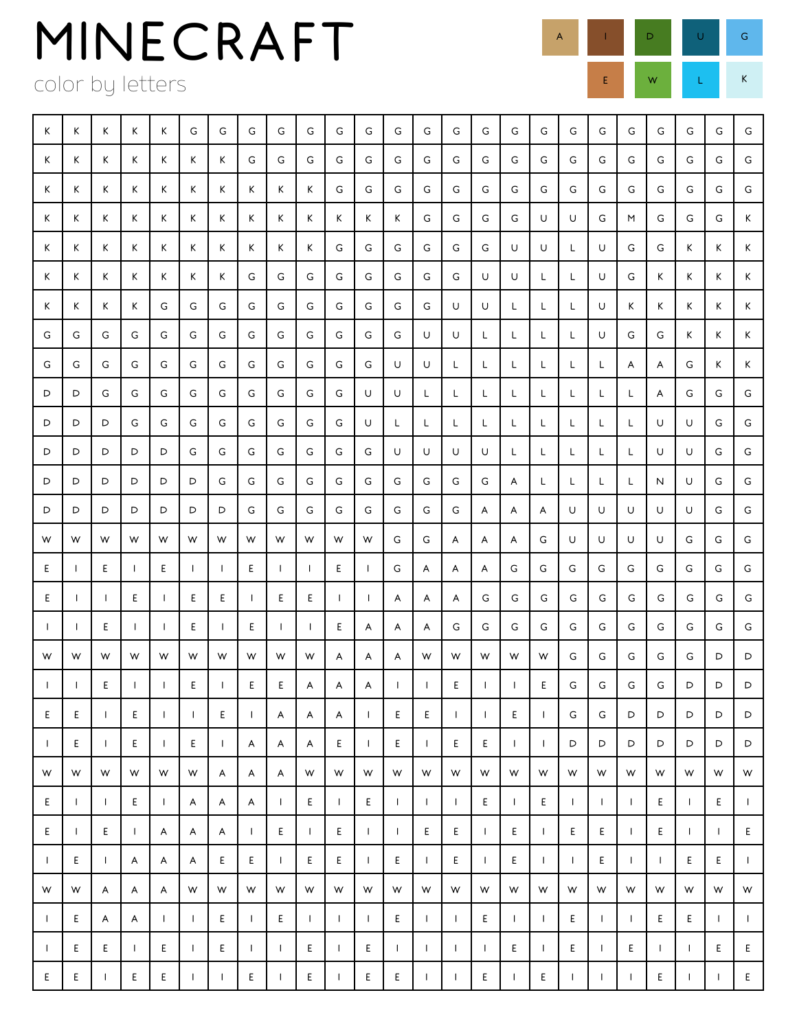color by letters

L

| К            | K            | Κ            | Κ            | Κ            | G            | G            | G            | G            | G            | G            | G            | G            | G            | G            | G            | G            | G            | G            | G            | G            | G            | G            | G            | G            |
|--------------|--------------|--------------|--------------|--------------|--------------|--------------|--------------|--------------|--------------|--------------|--------------|--------------|--------------|--------------|--------------|--------------|--------------|--------------|--------------|--------------|--------------|--------------|--------------|--------------|
| К            | Κ            | K            | К            | Κ            | К            | К            | G            | G            | G            | G            | G            | G            | G            | G            | G            | G            | G            | G            | G            | G            | G            | G            | G            | G            |
| К            | Κ            | Κ            | К            | К            | К            | К            | К            | К            | Κ            | G            | G            | G            | G            | G            | G            | G            | G            | G            | G            | G            | G            | G            | G            | G            |
| К            | Κ            | Κ            | Κ            | Κ            | Κ            | К            | К            | Κ            | Κ            | Κ            | K            | Κ            | G            | G            | G            | G            | U            | U            | G            | M            | G            | G            | G            | K            |
| К            | K            | Κ            | Κ            | Κ            | Κ            | Κ            | Κ            | Κ            | Κ            | G            | G            | G            | G            | G            | G            | U            | U            | L            | U            | G            | G            | K            | K            | K            |
| К            | Κ            | Κ            | Κ            | К            | К            | К            | G            | G            | G            | G            | G            | G            | G            | G            | U            | U            | L            | L            | U            | G            | K.           | K            | K            | K            |
| К            | Κ            | Κ            | Κ            | G            | G            | G            | G            | G            | G            | G            | G            | G            | G            | U            | U            | L            | L            | L            | U            | K            | K.           | K            | K            | K            |
| G            | G            | G            | G            | G            | G            | G            | G            | G            | G            | G            | G            | G            | U            | U            | L            | L            | L            | L            | U            | G            | G            | K            | K            | Κ            |
| G            | G            | G            | G            | G            | G            | G            | G            | G            | G            | G            | G            | U            | U            | L            | L            | L            | L            | L            | L.           | A            | A            | G            | K            | Κ            |
| D            | D            | G            | G            | G            | G            | G            | G            | G            | G            | G            | U            | U            | L            | L            | L            | L.           | L            | L            | L            | L            | A            | G            | G            | G            |
| D            | D            | D            | G            | G            | G            | G            | G            | G            | G            | G            | U            | L            | L            | L            | L            | L.           | L            | L            | L.           | L            | U            | U            | G            | G            |
| D            | D            | D            | D            | D            | G            | G            | G            | G            | G            | G            | G            | U            | U            | U            | U            | L            | L            | Г            | L            | L            | U            | U            | G            | G            |
| D            | D            | D            | D            | D            | D            | G            | G            | G            | G            | G            | G            | G            | G            | G            | G            | A            | L            | L            | L.           | L            | N            | U            | G            | G            |
| D            | D            | D            | D            | D            | D            | D            | G            | G            | G            | G            | G            | G            | G            | G            | A            | A            | A            | U            | U            | U            | U            | U            | G            | G            |
| W            | W            | W            | W            | W            | W            | W            | W            | W            | W            | W            | W            | G            | G            | A            | A            | A            | G            | U            | U            | U            | U            | G            | G            | G            |
| Ε            | $\mathbf{I}$ | Ε            | $\mathsf{I}$ | Ε            | $\mathbf{I}$ | $\mathbf{I}$ | E            | $\mathbf{I}$ | $\mathsf{I}$ | Ε            | $\mathbf{I}$ | G            | A            | A            | A            | G            | G            | G            | G            | G            | G            | G            | G            | G            |
| Ε            | Ι.           |              | Ε            | J.           | Ε            | Ε            | $\mathbf{I}$ | Е            | E            | $\perp$      | $\mathbf{I}$ | A            | A            | A            | G            | G            | G            | G            | G            | G            | G            | G            | G            | G            |
| $\mathbf{I}$ | $\mathbf{I}$ | E            | $\mathbf{I}$ | $\mathbf{I}$ | Ε            | $\mathbf{I}$ | E            | $\perp$      | $\mathbf{I}$ | E            | A            | A            | A            | G            | G            | G            | G            | G            | G            | G            | G            | G            | G            | G            |
| W            | W            | W            | W            | W            | W            | W            | W            | W            | W            | A            | A            | A            | W            | W            | W            | W            | W            | G            | G            | G            | G            | G            | D            | D            |
| $\Box$       | $\mathbf{L}$ | Ε            | $\mathbf{I}$ | $\mathbf{I}$ | E            | T            | E            | Е            | A            | A            | A            | $\mathsf{I}$ | $\mathbf{I}$ | E            | $\mathsf{I}$ | $\mathsf{I}$ | Ε            | G            | G            | G            | G            | D            | D            | D            |
| E.           | E.           | $\mathbf{I}$ | Ε            | -1           | $\mathsf{I}$ | Ε            | $\mathbf{I}$ | Α            | A            | A            | $\mathsf{I}$ | E            | Е            | $\mathbf{I}$ | $\mathbf{I}$ | Ε            | $\mathbf{I}$ | G            | G            | D            | D            | D            | D            | D            |
| $\mathbf{I}$ | E.           | $\mathbf{I}$ | Ε            | $\mathsf{I}$ | Ε            | $\mathbf{I}$ | A            | A            | A            | E            | $\mathbf{I}$ | E.           | $\mathbf{I}$ | E            | E            | $\mathbf{I}$ | $\mathbf{I}$ | D            | D            | D            | D            | D            | D            | D            |
| W            | W            | W            | W            | W            | W            | A            | A            | A            | W            | W            | W            | W            | W            | W            | W            | W            | W            | W            | W            | W            | W            | W            | W            | W            |
| E            | $\mathsf{I}$ | $\mathbf{I}$ | Ε            | $\mathsf{I}$ | A            | A            | A            | $\mathbf{I}$ | E            | $\mathbf{I}$ | E,           | $\mathbf{L}$ | $\mathbf{I}$ | $\mathbf{I}$ | E            | $\mathbf{I}$ | E.           | $\mathbf{I}$ | $\mathbf{I}$ | $\mathbf{I}$ | E            | $\mathbf{I}$ | E            | $\mathbf{L}$ |
| E.           | $\mathbf{I}$ | E            | $\mathsf{l}$ | A            | A            | A            | $\mathbf{I}$ | Ε            | $\mathsf{I}$ | E            | $\mathbf{I}$ | $\mathbf{I}$ | E            | Ε            | $\mathbf{I}$ | E            | $\mathbf{I}$ | E.           | E.           | $\mathbf{I}$ | E.           | $\mathbf{I}$ | $\mathbf{I}$ | E.           |
| $\mathbf{I}$ | Ε            | $\mathbf{I}$ | A            | A            | A            | E            | Ε            | $\mathbf{I}$ | E            | E.           | $\mathbf{I}$ | E.           | $\mathbf{I}$ | E            | $\mathbf{I}$ | E.           | $\mathbf{I}$ | $\mathbf{I}$ | E.           | $\mathbf{I}$ | $\mathbf{I}$ | E.           | E.           | $\mathbf{I}$ |
| W            | W            | A            | A            | A            | W            | W            | W            | W            | W            | W            | W            | W            | W            | W            | W            | W            | W            | W            | W            | W            | W            | W            | W            | W            |
| $\mathbf{I}$ | E.           | A            | A            | $\mathbf{I}$ | $\mathbf{I}$ | E            | $\mathbf{I}$ | Ε            | $\mathbf{I}$ | $\mathbf{I}$ | $\mathbf{I}$ | E            | $\mathbf{I}$ | $\mathbf{I}$ | E            | $\mathbf{I}$ | $\mathbf{I}$ | E.           | $\mathbf{L}$ | $\mathbf{L}$ | E.           | E.           | $\mathbf{L}$ | $\mathbf{I}$ |
| -1           | Ε            | Ε            | $\mathbf{I}$ | E            | $\mathsf{I}$ | Е            | $\mathbf{I}$ | $\mathbf{I}$ | E            | $\mathbf{I}$ | E            | $\mathsf{I}$ | $\mathsf{I}$ | $\mathbf{I}$ | $\mathbf{I}$ | E            | $\mathbf{I}$ | E            | $\mathbf{I}$ | E            | $\mathbf{I}$ | $\mathbf{I}$ | E.           | E.           |
| E            | E            |              | E            | E            |              |              | E            |              | E            |              | E            | E            |              |              | E            |              | E            |              |              |              | E            |              |              | E            |

A I D U G E W L K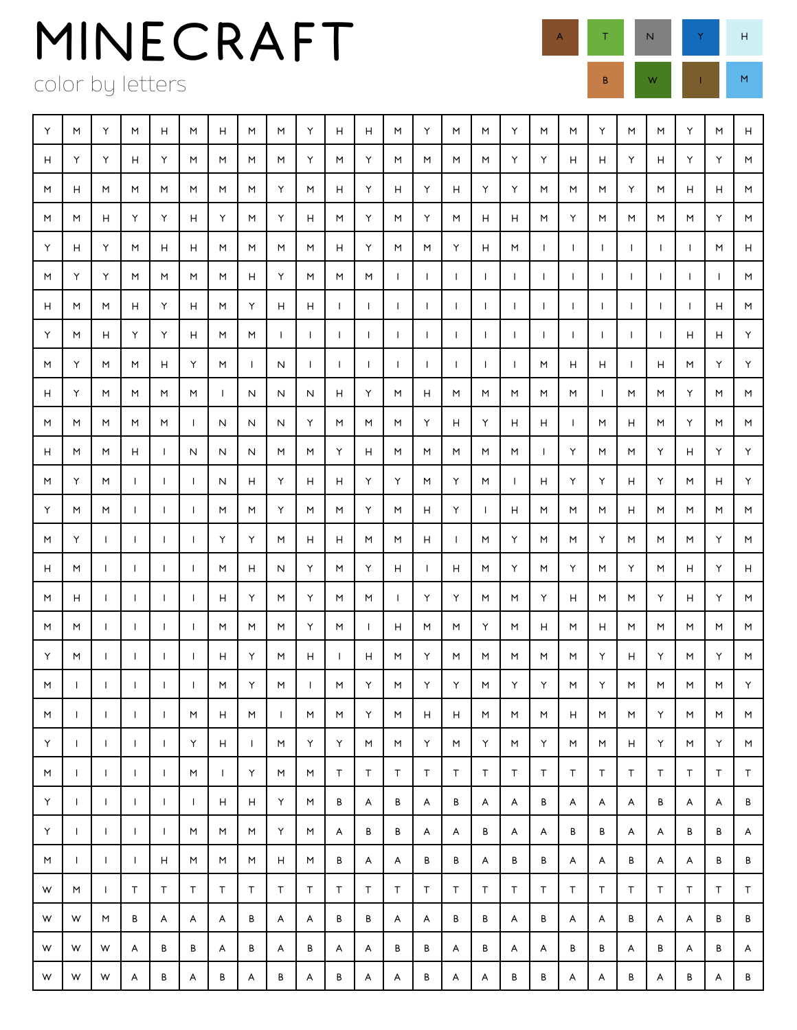color by letters

Y | M | Y | M | H | M | H | M | Y | H | H | M | Y | M | M | W | M | M | M | Y | M | M | H | H H Y Y H Y M M M M Y M Y M M M M Y Y H H Y H Y Y M M | H | M | M | M | M | M | M | H | Y | H | Y | H | Y | Y | M | M | M | Y | M | H | H | M M | M | H | Y | Y | H | Y | H | M | Y | M | Y | M | H | M | Y | M | M | M | M | Y | M Y H I Y I M I H I H I M I M I M I H I Y I M I M I Y I H I M I I I I I I I I I I I I I I I M I H M Y Y M M M M H Y M M M I I I I I I I I I I I I M H M M H Y H M Y H H I I I I I I I I I I I I I H M Y M H Y Y H M M I I I I I I I I I I I I I I H H Y M Y M M H Y M I N I I I I I I I I M H H I H M Y Y H Y M M M M I N N N H Y M H M M M M M I M M Y M M M M M M M I N N N Y M M M Y H Y H H I M H M Y M M H | M | M | H | I | N | N | M | M | Y | H | M | M | M | M | M | I | Y | M | M | Y | H | Y | Y M | Y | M | I | I | I | N | H | Y | H | H | Y | Y | M | Y | M | I | H | Y | Y | H | Y | M | H | Y Y M M I I I M M Y M M Y M H Y I H M M M H M M M M M | Y | I | I | I | I | Y | Y | M | H | H | M | M | H | I | M | Y | M | M | Y | M | M | M | Y | M H | M | I | I | I | I | M | H | N | Y | M | Y | H | I | H | M | Y | M | Y | M | Y | M | H | Y | H M | H | I | I | I | I | H | Y | M | Y | M | M | I | Y | Y | M | M | Y | H | M | M | Y | H | Y | M | M M M I I I I M M M Y M I H M M Y M H M H M M M M M Y M I I I I H Y M H I H M Y M M M M M Y H Y M Y M M I I I I I M Y M I M Y M Y Y M Y Y M Y M M M M Y M | I | I | | | | | M | H | | M | M | Y | M | H | H | M | M | M | M | M | Y | M | M | M Y I I I I Y H I M Y Y M M Y M Y M Y M M H Y M Y M M I I I I M I Y M M T T T T T T T T T T T T T T T Y I I I I I H H Y M B A B A B A A B A A A B A A B Y I I I I M M M Y M A B B A A B A A B B A A B B A M I I I H M M M H M B A A B B A B B A A B A A B B W M I T T T T T T T T T T T T T T T T T T T T T T W W M B A A A B A A B B A A B B A B A A B A A B B W W W A B B A B A B A A B B A B A A B B A B A B A W W W A B A B A B A B A A B A A B B A A B A B A B